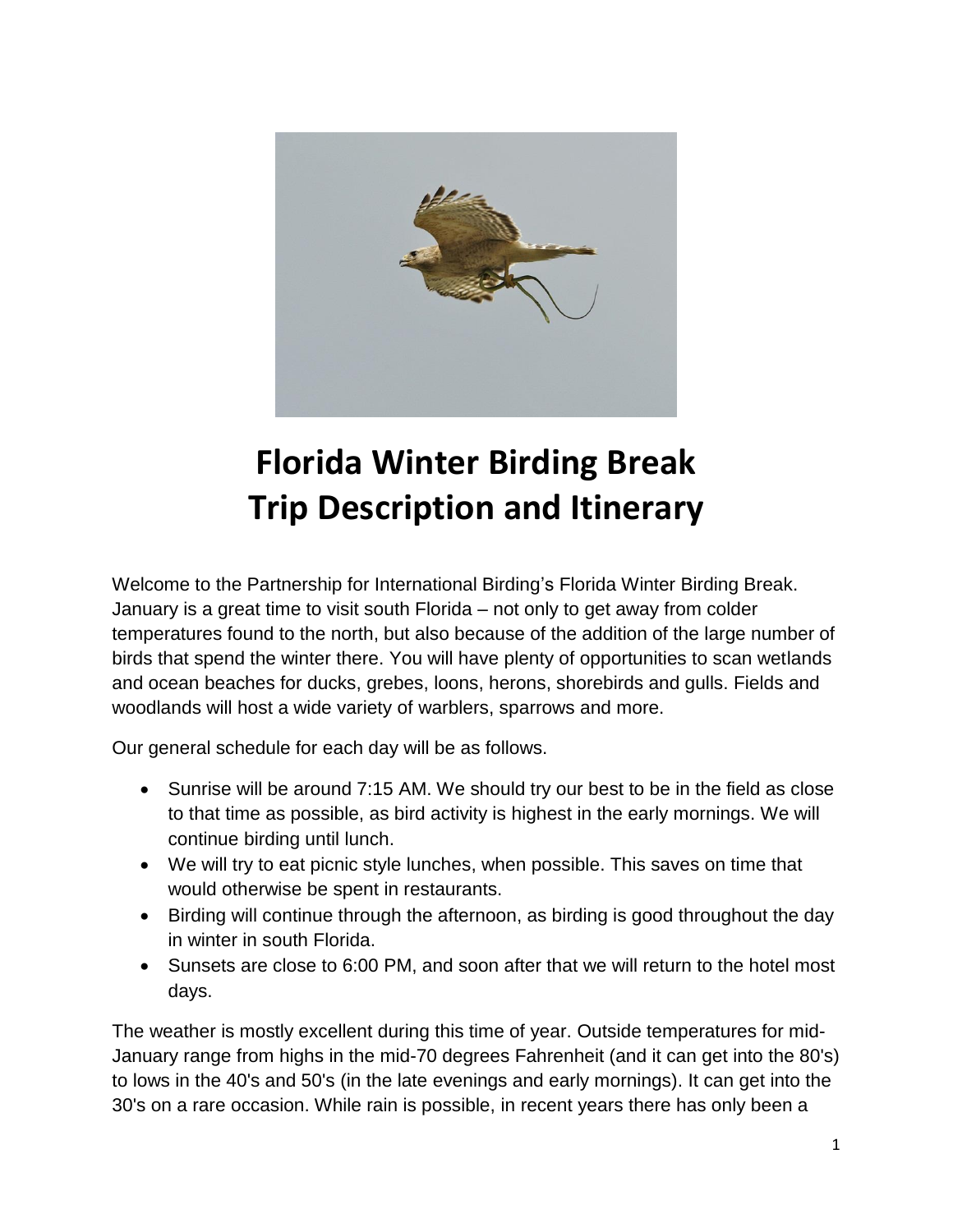

# **Florida Winter Birding Break Trip Description and Itinerary**

Welcome to the Partnership for International Birding's Florida Winter Birding Break. January is a great time to visit south Florida – not only to get away from colder temperatures found to the north, but also because of the addition of the large number of birds that spend the winter there. You will have plenty of opportunities to scan wetlands and ocean beaches for ducks, grebes, loons, herons, shorebirds and gulls. Fields and woodlands will host a wide variety of warblers, sparrows and more.

Our general schedule for each day will be as follows.

- Sunrise will be around 7:15 AM. We should try our best to be in the field as close to that time as possible, as bird activity is highest in the early mornings. We will continue birding until lunch.
- We will try to eat picnic style lunches, when possible. This saves on time that would otherwise be spent in restaurants.
- Birding will continue through the afternoon, as birding is good throughout the day in winter in south Florida.
- Sunsets are close to 6:00 PM, and soon after that we will return to the hotel most days.

The weather is mostly excellent during this time of year. Outside temperatures for mid-January range from highs in the mid-70 degrees Fahrenheit (and it can get into the 80's) to lows in the 40's and 50's (in the late evenings and early mornings). It can get into the 30's on a rare occasion. While rain is possible, in recent years there has only been a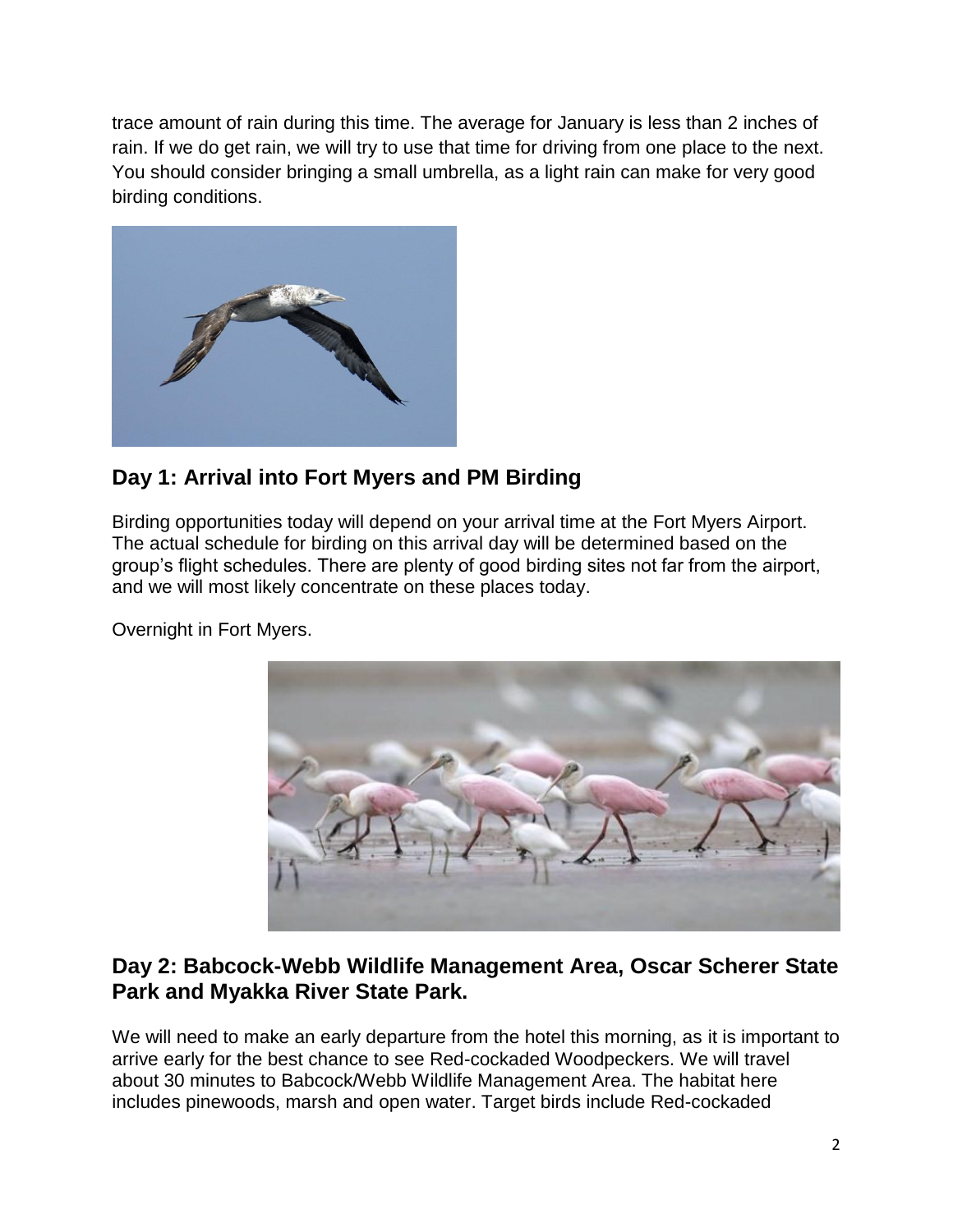trace amount of rain during this time. The average for January is less than 2 inches of rain. If we do get rain, we will try to use that time for driving from one place to the next. You should consider bringing a small umbrella, as a light rain can make for very good birding conditions.



## **Day 1: Arrival into Fort Myers and PM Birding**

Birding opportunities today will depend on your arrival time at the Fort Myers Airport. The actual schedule for birding on this arrival day will be determined based on the group's flight schedules. There are plenty of good birding sites not far from the airport, and we will most likely concentrate on these places today.

Overnight in Fort Myers.



#### **Day 2: Babcock-Webb Wildlife Management Area, Oscar Scherer State Park and Myakka River State Park.**

We will need to make an early departure from the hotel this morning, as it is important to arrive early for the best chance to see Red-cockaded Woodpeckers. We will travel about 30 minutes to Babcock/Webb Wildlife Management Area. The habitat here includes pinewoods, marsh and open water. Target birds include Red-cockaded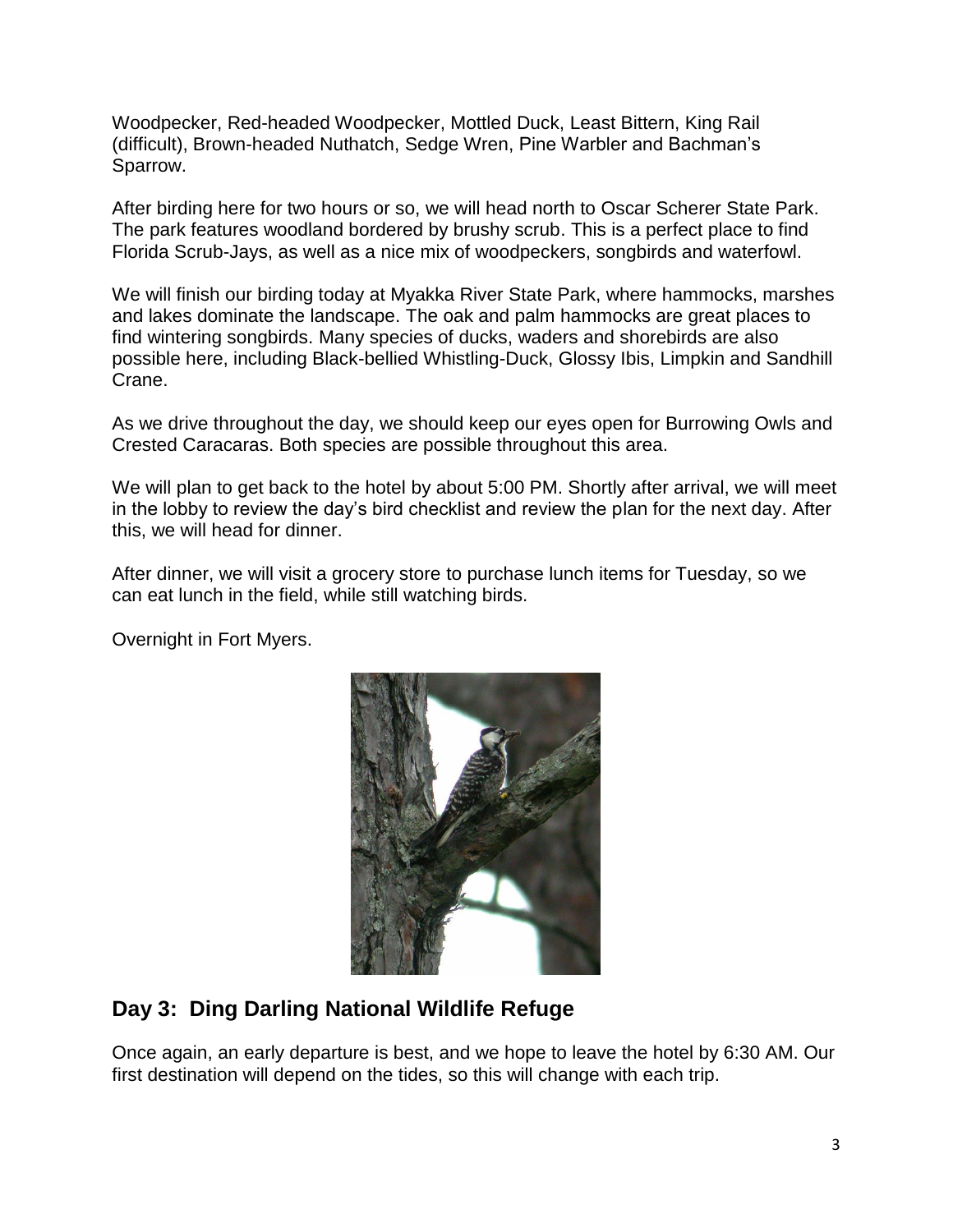Woodpecker, Red-headed Woodpecker, Mottled Duck, Least Bittern, King Rail (difficult), Brown-headed Nuthatch, Sedge Wren, Pine Warbler and Bachman's Sparrow.

After birding here for two hours or so, we will head north to Oscar Scherer State Park. The park features woodland bordered by brushy scrub. This is a perfect place to find Florida Scrub-Jays, as well as a nice mix of woodpeckers, songbirds and waterfowl.

We will finish our birding today at Myakka River State Park, where hammocks, marshes and lakes dominate the landscape. The oak and palm hammocks are great places to find wintering songbirds. Many species of ducks, waders and shorebirds are also possible here, including Black-bellied Whistling-Duck, Glossy Ibis, Limpkin and Sandhill Crane.

As we drive throughout the day, we should keep our eyes open for Burrowing Owls and Crested Caracaras. Both species are possible throughout this area.

We will plan to get back to the hotel by about 5:00 PM. Shortly after arrival, we will meet in the lobby to review the day's bird checklist and review the plan for the next day. After this, we will head for dinner.

After dinner, we will visit a grocery store to purchase lunch items for Tuesday, so we can eat lunch in the field, while still watching birds.

Overnight in Fort Myers.



## **Day 3: Ding Darling National Wildlife Refuge**

Once again, an early departure is best, and we hope to leave the hotel by 6:30 AM. Our first destination will depend on the tides, so this will change with each trip.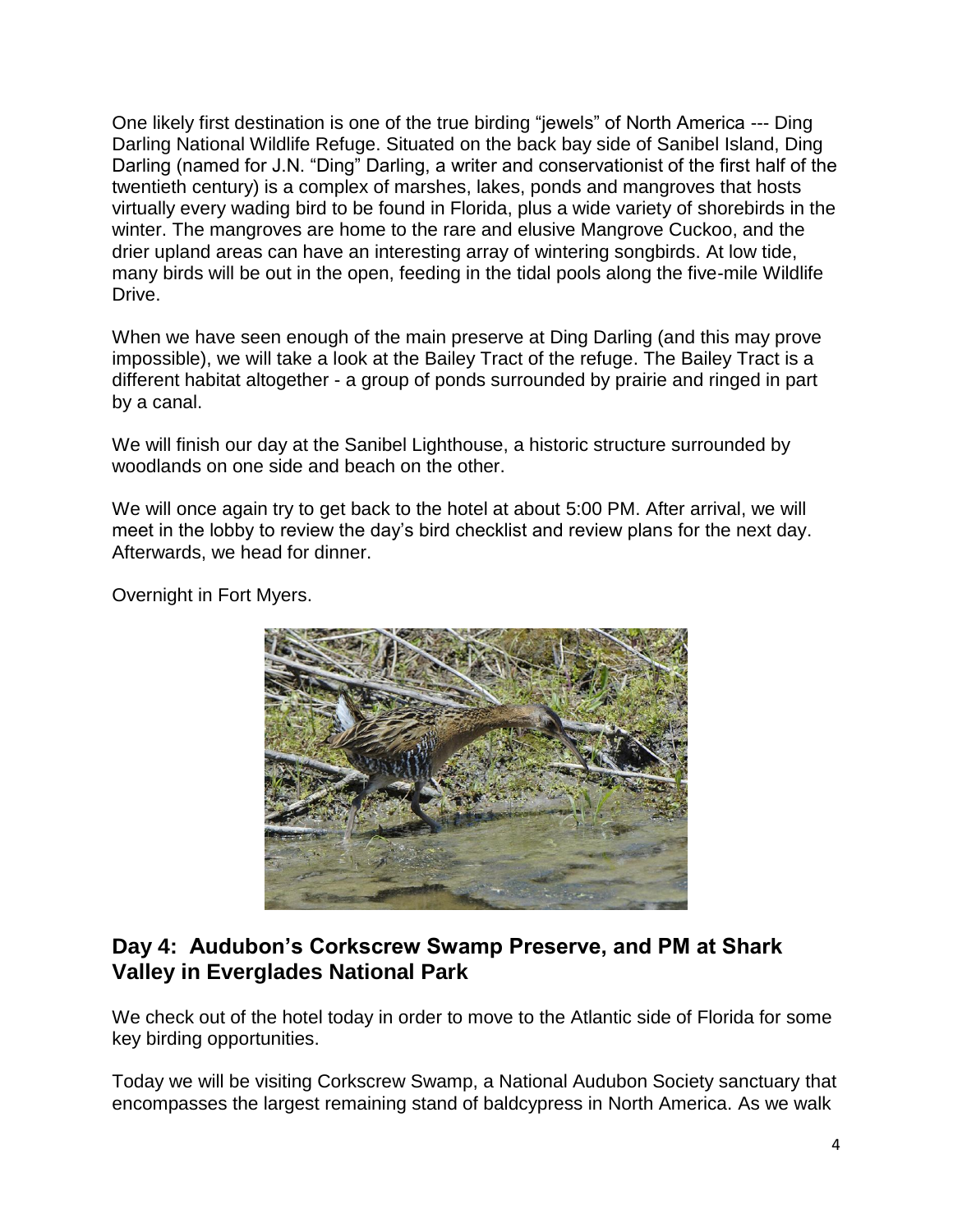One likely first destination is one of the true birding "jewels" of North America --- Ding Darling National Wildlife Refuge. Situated on the back bay side of Sanibel Island, Ding Darling (named for J.N. "Ding" Darling, a writer and conservationist of the first half of the twentieth century) is a complex of marshes, lakes, ponds and mangroves that hosts virtually every wading bird to be found in Florida, plus a wide variety of shorebirds in the winter. The mangroves are home to the rare and elusive Mangrove Cuckoo, and the drier upland areas can have an interesting array of wintering songbirds. At low tide, many birds will be out in the open, feeding in the tidal pools along the five-mile Wildlife Drive.

When we have seen enough of the main preserve at Ding Darling (and this may prove impossible), we will take a look at the Bailey Tract of the refuge. The Bailey Tract is a different habitat altogether - a group of ponds surrounded by prairie and ringed in part by a canal.

We will finish our day at the Sanibel Lighthouse, a historic structure surrounded by woodlands on one side and beach on the other.

We will once again try to get back to the hotel at about 5:00 PM. After arrival, we will meet in the lobby to review the day's bird checklist and review plans for the next day. Afterwards, we head for dinner.

Overnight in Fort Myers.



#### **Day 4: Audubon's Corkscrew Swamp Preserve, and PM at Shark Valley in Everglades National Park**

We check out of the hotel today in order to move to the Atlantic side of Florida for some key birding opportunities.

Today we will be visiting Corkscrew Swamp, a National Audubon Society sanctuary that encompasses the largest remaining stand of baldcypress in North America. As we walk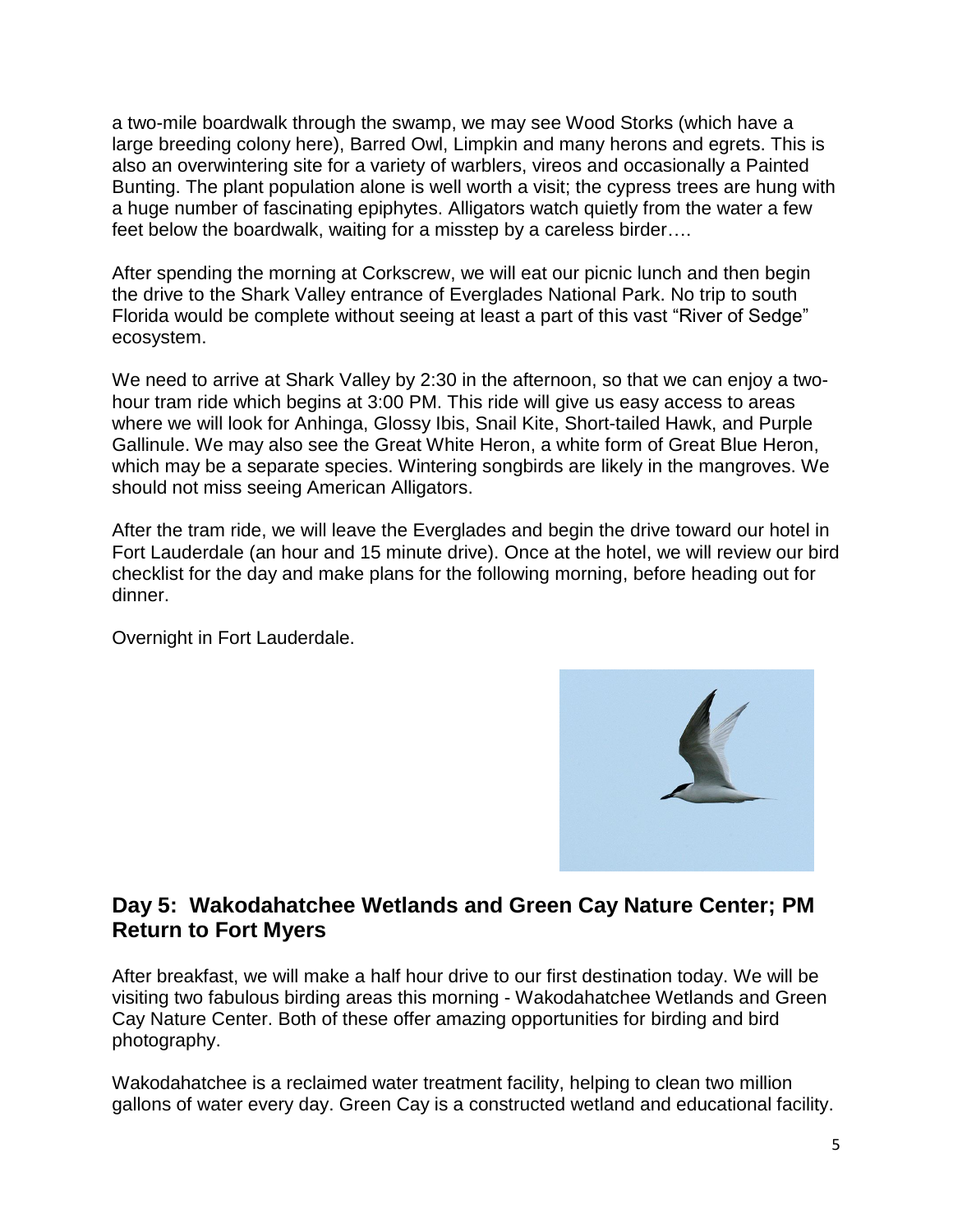a two-mile boardwalk through the swamp, we may see Wood Storks (which have a large breeding colony here), Barred Owl, Limpkin and many herons and egrets. This is also an overwintering site for a variety of warblers, vireos and occasionally a Painted Bunting. The plant population alone is well worth a visit; the cypress trees are hung with a huge number of fascinating epiphytes. Alligators watch quietly from the water a few feet below the boardwalk, waiting for a misstep by a careless birder….

After spending the morning at Corkscrew, we will eat our picnic lunch and then begin the drive to the Shark Valley entrance of Everglades National Park. No trip to south Florida would be complete without seeing at least a part of this vast "River of Sedge" ecosystem.

We need to arrive at Shark Valley by 2:30 in the afternoon, so that we can enjoy a twohour tram ride which begins at 3:00 PM. This ride will give us easy access to areas where we will look for Anhinga, Glossy Ibis, Snail Kite, Short-tailed Hawk, and Purple Gallinule. We may also see the Great White Heron, a white form of Great Blue Heron, which may be a separate species. Wintering songbirds are likely in the mangroves. We should not miss seeing American Alligators.

After the tram ride, we will leave the Everglades and begin the drive toward our hotel in Fort Lauderdale (an hour and 15 minute drive). Once at the hotel, we will review our bird checklist for the day and make plans for the following morning, before heading out for dinner.

Overnight in Fort Lauderdale.



## **Day 5: Wakodahatchee Wetlands and Green Cay Nature Center; PM Return to Fort Myers**

After breakfast, we will make a half hour drive to our first destination today. We will be visiting two fabulous birding areas this morning - Wakodahatchee Wetlands and Green Cay Nature Center. Both of these offer amazing opportunities for birding and bird photography.

Wakodahatchee is a reclaimed water treatment facility, helping to clean two million gallons of water every day. Green Cay is a constructed wetland and educational facility.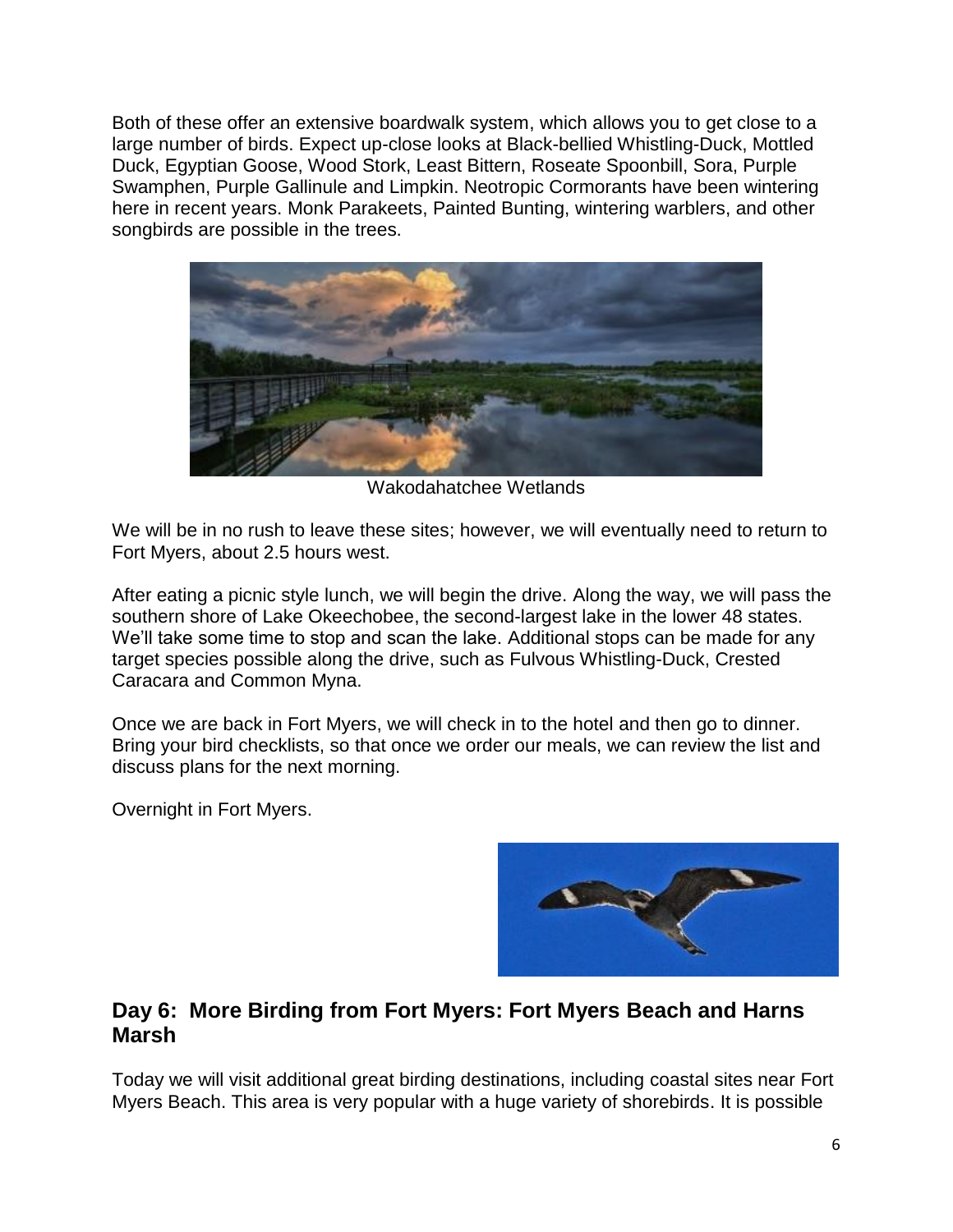Both of these offer an extensive boardwalk system, which allows you to get close to a large number of birds. Expect up-close looks at Black-bellied Whistling-Duck, Mottled Duck, Egyptian Goose, Wood Stork, Least Bittern, Roseate Spoonbill, Sora, Purple Swamphen, Purple Gallinule and Limpkin. Neotropic Cormorants have been wintering here in recent years. Monk Parakeets, Painted Bunting, wintering warblers, and other songbirds are possible in the trees.



Wakodahatchee Wetlands

We will be in no rush to leave these sites; however, we will eventually need to return to Fort Myers, about 2.5 hours west.

After eating a picnic style lunch, we will begin the drive. Along the way, we will pass the southern shore of Lake Okeechobee, the second-largest lake in the lower 48 states. We'll take some time to stop and scan the lake. Additional stops can be made for any target species possible along the drive, such as Fulvous Whistling-Duck, Crested Caracara and Common Myna.

Once we are back in Fort Myers, we will check in to the hotel and then go to dinner. Bring your bird checklists, so that once we order our meals, we can review the list and discuss plans for the next morning.

Overnight in Fort Myers.



## **Day 6: More Birding from Fort Myers: Fort Myers Beach and Harns Marsh**

Today we will visit additional great birding destinations, including coastal sites near Fort Myers Beach. This area is very popular with a huge variety of shorebirds. It is possible